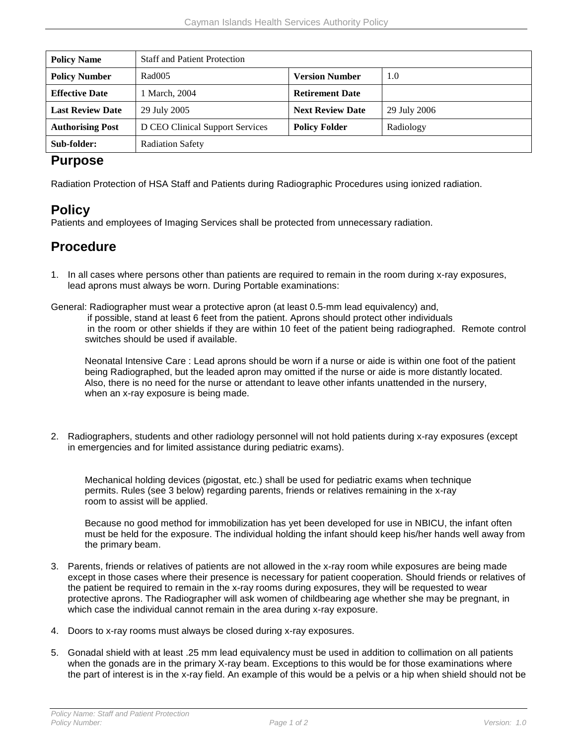| <b>Policy Name</b>      | <b>Staff and Patient Protection</b> |                         |              |  |
|-------------------------|-------------------------------------|-------------------------|--------------|--|
| <b>Policy Number</b>    | Rad005                              | <b>Version Number</b>   | 1.0          |  |
| <b>Effective Date</b>   | 1 March, 2004                       | <b>Retirement Date</b>  |              |  |
| <b>Last Review Date</b> | 29 July 2005                        | <b>Next Review Date</b> | 29 July 2006 |  |
| <b>Authorising Post</b> | D CEO Clinical Support Services     | <b>Policy Folder</b>    | Radiology    |  |
| Sub-folder:             | <b>Radiation Safety</b>             |                         |              |  |

## **Purpose**

Radiation Protection of HSA Staff and Patients during Radiographic Procedures using ionized radiation.

## **Policy**

Patients and employees of Imaging Services shall be protected from unnecessary radiation.

## **Procedure**

1. In all cases where persons other than patients are required to remain in the room during x-ray exposures, lead aprons must always be worn. During Portable examinations:

General: Radiographer must wear a protective apron (at least 0.5-mm lead equivalency) and,

if possible, stand at least 6 feet from the patient. Aprons should protect other individuals in the room or other shields if they are within 10 feet of the patient being radiographed. Remote control switches should be used if available.

Neonatal Intensive Care : Lead aprons should be worn if a nurse or aide is within one foot of the patient being Radiographed, but the leaded apron may omitted if the nurse or aide is more distantly located. Also, there is no need for the nurse or attendant to leave other infants unattended in the nursery, when an x-ray exposure is being made.

2. Radiographers, students and other radiology personnel will not hold patients during x-ray exposures (except in emergencies and for limited assistance during pediatric exams).

Mechanical holding devices (pigostat, etc.) shall be used for pediatric exams when technique permits. Rules (see 3 below) regarding parents, friends or relatives remaining in the x-ray room to assist will be applied.

Because no good method for immobilization has yet been developed for use in NBICU, the infant often must be held for the exposure. The individual holding the infant should keep his/her hands well away from the primary beam.

- 3. Parents, friends or relatives of patients are not allowed in the x-ray room while exposures are being made except in those cases where their presence is necessary for patient cooperation. Should friends or relatives of the patient be required to remain in the x-ray rooms during exposures, they will be requested to wear protective aprons. The Radiographer will ask women of childbearing age whether she may be pregnant, in which case the individual cannot remain in the area during x-ray exposure.
- 4. Doors to x-ray rooms must always be closed during x-ray exposures.
- 5. Gonadal shield with at least .25 mm lead equivalency must be used in addition to collimation on all patients when the gonads are in the primary X-ray beam. Exceptions to this would be for those examinations where the part of interest is in the x-ray field. An example of this would be a pelvis or a hip when shield should not be